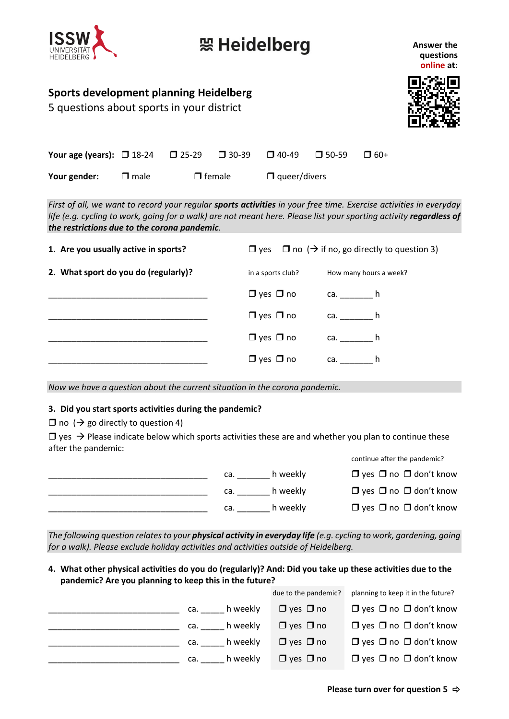

## 短 Heidelberg

**Answer the questions online at:**

### **Sports development planning Heidelberg**

5 questions about sports in your district



| <b>Your age (years): <math>\Box</math> 18-24</b> $\Box$ 25-29 |             |               | $\square$ 30-39 | $\square$ 40-49      | $\Box$ 50-59     | $\Box$ 60+                                                                                                                                                                                                                              |
|---------------------------------------------------------------|-------------|---------------|-----------------|----------------------|------------------|-----------------------------------------------------------------------------------------------------------------------------------------------------------------------------------------------------------------------------------------|
| Your gender:                                                  | $\Box$ male | $\Box$ female |                 | $\Box$ queer/divers  |                  |                                                                                                                                                                                                                                         |
| the restrictions due to the corona pandemic.                  |             |               |                 |                      |                  | First of all, we want to record your regular sports activities in your free time. Exercise activities in everyday<br>life (e.g. cycling to work, going for a walk) are not meant here. Please list your sporting activity regardless of |
| 1. Are you usually active in sports?                          |             |               |                 |                      |                  | $\Box$ yes $\Box$ no ( $\rightarrow$ if no, go directly to question 3)                                                                                                                                                                  |
| 2. What sport do you do (regularly)?                          |             |               |                 | in a sports club?    |                  | How many hours a week?                                                                                                                                                                                                                  |
|                                                               |             |               |                 | $\Box$ yes $\Box$ no | ca. $\_\_\_\_$ h |                                                                                                                                                                                                                                         |
|                                                               |             |               |                 | $\Box$ yes $\Box$ no | ca. $\_\_$ h     |                                                                                                                                                                                                                                         |
|                                                               |             |               |                 | $\Box$ yes $\Box$ no | ca. $\qquad h$   |                                                                                                                                                                                                                                         |
|                                                               |             |               |                 | $\Box$ yes $\Box$ no | $ca.$ h          |                                                                                                                                                                                                                                         |
|                                                               |             |               |                 |                      |                  |                                                                                                                                                                                                                                         |

*Now we have a question about the current situation in the corona pandemic.*

#### **3. Did you start sports activities during the pandemic?**

 $\Box$  no ( $\rightarrow$  go directly to question 4)

 $\Box$  yes  $\rightarrow$  Please indicate below which sports activities these are and whether you plan to continue these after the pandemic:



*The following question relates to your physical activity in everyday life (e.g. cycling to work, gardening, going for a walk). Please exclude holiday activities and activities outside of Heidelberg.*

**4. What other physical activities do you do (regularly)? And: Did you take up these activities due to the pandemic? Are you planning to keep this in the future?**